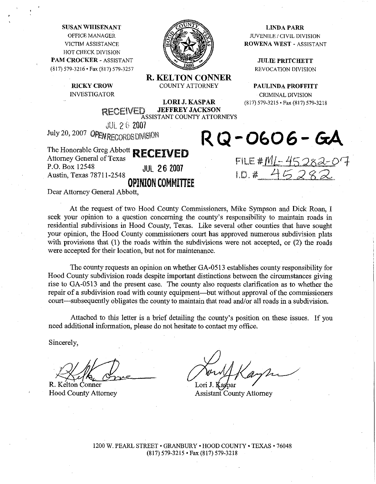**SUSAN WHISENANT LINDA PARR** LINDA PARR **OFFICE MANAGER GOVERNMENT AND SUVENILE** CIVIL DIVISION **HOTCHECK DIVISION PAM CROCKER - ASSISTANT A SEXUAL PRITCHETT (817) 579-3216 Fax (817) 579-3257 REVOCATION DIVISION** 



**R. KELTON CONNER** 

**LORI J. KASPAR** (817) 579-3215 · Fax (817) 579-3218

**RICKY CROW COUNTY ATTORNEY PAULINDA PROFFITT INVESTIGATOR CRIMINAL DIVISION** 

> **JEFFREY JACKSON RECEIVED JEFFREY JACKSON**<br>ASSISTANT COUNTY ATTORNEYS

JUL 2 6 2007 July 20, 2007 **QPEN RECORDS DIVISION** 

The Honorable Greg Abbott **RECEIVED**  Attorney General of Texas<br>P.O. Box 12548 P.O. BOX 12548 JllL 26 **<sup>2007</sup>** Austin, Texas 7871 1-2548 **OPINION COMMIIREE** 

Dear Attorney General Abbott,

At the request of two Hood County Commissioners, Mike Sympson and Dick Roan, I seek your opinion to a question concerning the county's responsibility to maintain roads in residential subdivisions in Hood County, Texas. Like several other counties that have sought your opinion, the Hood County commissioners court has approved numerous subdivision plats with provisions that (1) the roads within the subdivisions were not accepted, or (2) the roads were accepted for their location, but not for maintenance.

The county requests an opinion on whether GA-0513 establishes county responsibility for Hood County subdivision roads despite important distinctions between the circumstances giving rise to GA-0513 and the present case. The county also requests clarification as to whether the repair of a subdivision road with county equipment—but without approval of the commissioners court—subsequently obligates the county to maintain that road and/or all roads in a subdivision.

Attached to this letter is a brief detailing the county's position on these issues. If you need additional information, please do not hesitate to contact my office.

Sincerely,

R. Kelton County Attorney<br>
R. Kelton County Attorney<br>
R. Kelton County Attorney<br>
Hood County Attorney<br>
Assistant County Attorney<br>
Assistant County Attorney

1200 W. PEARL **STREET. GRANBURY** . **HOOD COUNTY TEXAS** -76048 (817) 579-3215. **Fax** (817) 579-3218

RQ-0606- GA

FILE <u>#ML- 45 282-</u>07

**VICTIM ASSISTANCE ASSISTANT ROWENA WEST - ASSISTANT**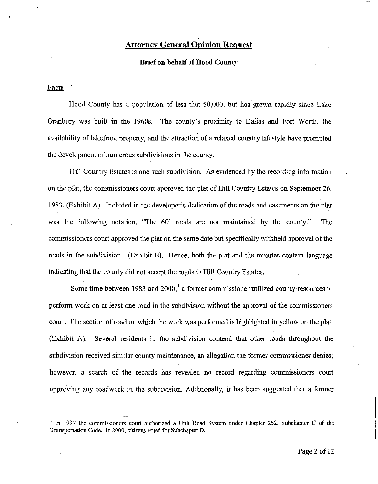# **Attorney General Opinion Request**

### **Brief on behalf of Hood County**

Facts

Hood County has a population of less that 50,000, but has grown rapidly since Lake Granbury was built in the 1960s. The county's proximity to Dallas and Fort Worth, the availability of lakefront property, and the attraction of a relaxed country lifestyle have prompted the development of numerous subdivisions in the county.

Hill Country Estates is one such subdivision. **As** evidenced by the recording information on the plat, the commissioners court approved the plat of H111 Country Estates on September 26, 1983. (Exhibit A). Included in the developer's dedication of the roads and easements on the plat was the following notation, "The 60' roads are not maintained by the county." The commissioners court approved the plat on the same date but specifically withheld approval of the roads in the subdivision. (Exhibit B). Hence, both the plat and the minutes contain language indicating that the county did not accept the roads in Hill Country Estates.

Some time between 1983 and  $2000<sup>1</sup>$  a former commissioner utilized county resources to perform work on at least one road in the subdivision without the approval of the commissioners court. The section of road on which the work was performed is highlighted in yellow on the plat. (Exhibit **A).** Several residents in the subdivision contend that other roads throughout the subdivision received similar county maintenance, an allegation the former commissioner denies; however, a search of the records has revealed no record regarding commissioners court approving any roadwork in the subdivision. Additionally, it has been suggested that a former

<sup>&</sup>lt;sup>1</sup> In 1997 the commissioners court authorized a Unit Road System under Chapter 252, Subchapter C of the Transportation Code. In 2000, citizens voted for Subchapter D.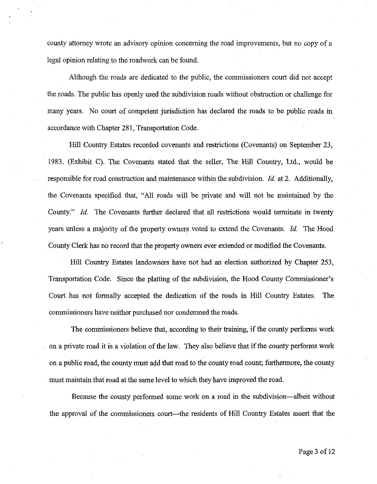county attorney wrote an advisory opinion concerning the road improvements, but no copy of a legal opinion relating to the roadwork can be found.

Although the roads are dedicated to the public, the commissioners court did not accept the roads. The public has openly used the subdivision roads without obstruction or challenge for many years. No court of competent jurisdiction has declared the roads to be public roads in accordance with Chapter **28** 1, Transportation Code.

Hill Country Estates recorded covenants and restrictions (Covenants) on September **23,**  1983. (Exhibit C). The Covenants stated that the seller, The Hill Country, Ltd., would be responsible for road construction and maintenance within the subdivision. Id. at **2.** Additionally, the Covenants specified that, "All roads will be private and will not be maintained by the County." *Id.* The Covenants further declared that all restrictions would terminate in twenty years unless a majority of the property owners voted to extend the Covenants. Id. The Hood County Clerk has no record that the property owners ever extended or modified the Covenants.

Hill Country Estates landowners have not had an election authorized by Chapter **253,**  Transportation Code. Since the platting of the subdivision, the Hood County Commissioner's Court has not formally accepted the dedication of the roads in Hill Country Estates. The commissioners have neither purchased nor condemned the roads.

The commissioners believe that, according to their training, if the county performs work on a private road it is a violation of the law. They also believe that if the county performs work on a public road, the county must add that road to the county road count; furthermore, the county must maintain that road at the same level to which they have improved the road.

Because the county performed some work on a road in the subdivision-albeit without the approval of the commissioners court—the residents of Hill Country Estates assert that the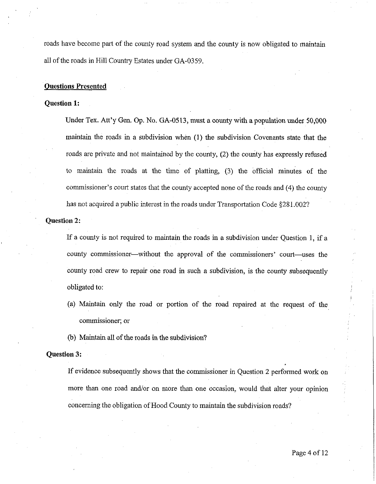roads have become part of the county road system and the county is now obligated to maintain all of the roads in Hill Country Estates under GA-0359.

## Questions Presented

## Question **1:**

Under Tex. Att'y Gen. Op. No. GA-0513, must a county with a population under 50,000 maintain the roads in a subdivision when (1) the subdivision Covenants state that the roads are private and not maintained by the county, (2) the county has expressly refused to maintain the roads at the time of platting, (3) the official minutes of the commissioner's court states that the county accepted none of the roads and (4) the county has not acquired a public interest in the roads under Transportation Code §281.002?

### Question **2:**

If a county is not required to maintain the roads in a subdivision under Question 1, if a county commissioner—without the approval of the commissioners' court—uses the county road crew to repair one road in such a subdivision, is the county subsequently obligated to:

- (a) Maintain only the road or portion of the road repaired at the request of the commissioner; or
- (b) Maintain all of the roads in the subdivision?

# Question **3:**

If evidence subsequently shows that the commissioner in Question 2 performed work on more than one road and/or on more than one occasion, would that alter your opinion concerning the obligation of Hood County to maintain the subdivision roads?

I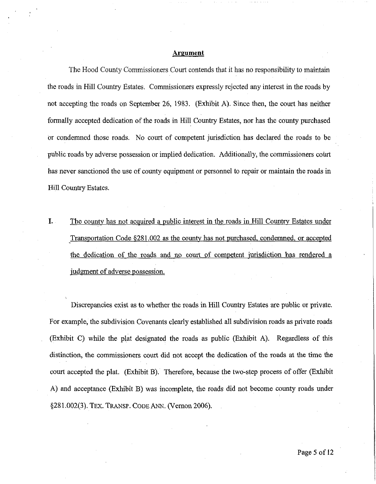### Argument

The Hood County Commissioners Court contends that it has no responsibility to maintain the roads in Hill Country Estates. Commissioners expressly rejected any interest in the roads by not accepting the roads on September 26, 1983. (Exhibit A). Since then, the court has neither formally accepted dedication of the roads in Hill Country Estates, nor has the county purchased or condemned those roads. No court of competent jurisdiction has declared the roads to be public roads by adverse possession or implied dedication. Additionally, the commissioners court has never sanctioned the use of county equipment or personnel to repair or maintain the roads in Hill Country Estates.

**I.** The county has not acquired a public interest in the roads in Hill Country Estates under Transportation Code §281.002 as the county has not purchased, condemned, or accepted the dedication of the roads and no court of competent jurisdiction has rendered a judgment of adverse possession.

Discrepancies exist as to whether the roads in Hill Country Estates are public or private. For example, the subdivision Covenants clearly established all subdivision roads as private roads (Exhibit C) while the plat designated the roads as public (Exhibit **A).** Regardless of this distinction, the commissioners court did not accept the dedication of the roads at the time the court accepted the plat. (Exhibit B). Therefore, because the two-step process of offer (Exhibit A) and acceptance (Exhibit B) was incomplete, the roads did not become county roads under \$28 1.002(3). TEX. TRANSP. CODE ANN. (Vernon 2006).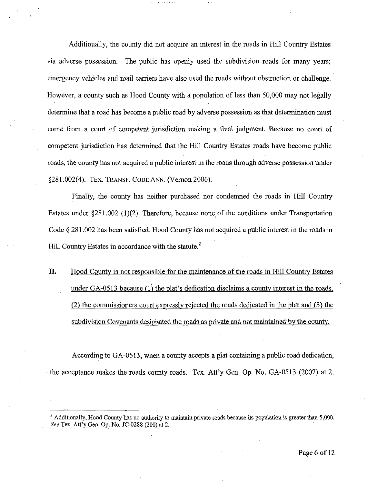Additionally, the county did not acquire an interest in the roads in Hill Country Estates via adverse possession. The public has openly used the subdivision roads for many years; emergency vehicles and mail carriers have also used the roads without obstruction or challenge. However, a county such as Hood County with a population of less than 50,000 may not legally determine that a road has become a public road by adverse possession as that determination must come from a court of competent jurisdiction making a final judgment. Because no court of competent jurisdiction has determined that the Hill Country Estates roads have become public roads, the county has not acquired a public interest in the roads through adverse possession under \$28 1.002(4). TEX. **TRANSP.** CODE ANN. (Vernon 2006).

Finally, the county has neither purchased nor condemned the roads in Hill Country Estates under 5281.002 (1)(2). Therefore, because none of the conditions under Transportation Code \$ 281.002 has been satisfied, Hood County has not acquired a public interest in the roads in Hill Country Estates in accordance with the statute. $2^{\circ}$ 

**11.** Hood County is not responsible for the maintenance of the roads in Hill Country Estates under  $GA-0513$  because  $(1)$  the plat's dedication disclaims a county interest in the roads, (2) the commissioners court expressly reiected the roads dedicated in the plat and **(3)** the subdivision Covenants designated the roads as private and not maintained by the county.

According to GA-0513, when a county accepts a plat containing a public road dedication, the acceptance makes the roads county roads. Tex. Att'y Gen. Op. No. GA-0513 (2007) at 2.

<sup>&</sup>lt;sup>2</sup> Additionally, Hood County has no authority to maintain private roads because its population is greater than 5,000. *See* Tex. Att'y Gen. Op. No. JC-0288 (200) at 2.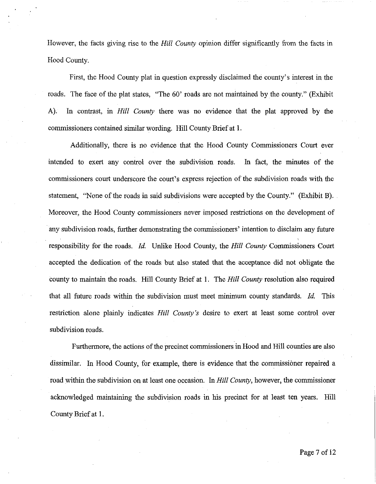However, the facts giving rise to the *Hill County* opinion differ significantly from the facts in Hood County.

First, the Hood County plat in question expressly disclaimed the county's interest in the roads. The face of the plat states, "The 60' roads are not maintained by the county." (Exhibit A). In contrast, in *Hill* County there was no evidence that the plat approved by the commissioners contained similar wording. Hill County Brief at 1.

Additionally, there is no evidence that the Hood County Commissioners Court ever intended to exert any control over the subdivision roads. In fact, the minutes of the commissioners court underscore the court's express rejection of the subdivision roads with the statement, "None of the roads in said subdivisions were accepted by the County." (Exhibit B). Moreover, the Hood County commissioners never imposed restrictions on the development of any subdivision roads, further demonstrating the commissioners' intention to disclaim any future responsibility for the roads. *Id.* Unlike Hood County, the *Hill* County Commissioners Court accepted the dedication of the roads but also stated that the acceptance did not obligate the county to maintain the roads. Hill County Brief at 1. The *Hill* County resolution also required that all future roads within the subdivision must meet minimum county standards. *Id.* This restriction alone plainly indicates *Hill* County's desire to exert at least some control over subdivision roads.

Furthermore, the actions of the precinct commissioners in Hood and Hill counties are also dissimilar. In Hood County, for example, there is evidence that the commissioner repaired a road within the subdivision on at least one occasion. In *Hill* County, however, the commissioner acknowledged maintaining the subdivision roads in his precinct for at least ten years. Hill County Brief at 1.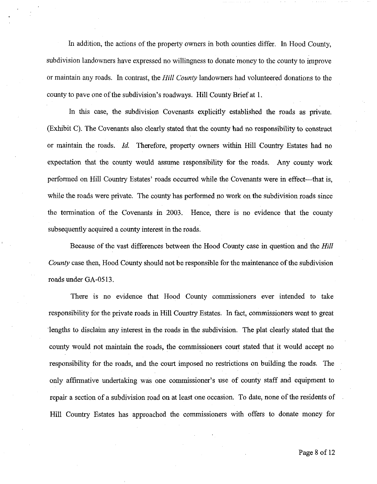In addition, the actions of the property owners in both counties differ. In Hood County, subdivision landowners have expressed no willingness to donate money to the county to improve or maintain any roads. In contrast, the **Hill** County landowners had volunteered donations to the county to pave one of the subdivision's roadways. Hill County Brief at 1.

In this case, the subdivision Covenants explicitly established the roads as private. (Exhibit C). The Covenants also clearly stated that the county had no responsibility to construct or maintain the roads. Id. Therefore, property owners within Hill Country Estates had no expectation that the county would assume responsibility for the roads. Any county work performed on Hill Country Estates' roads occurred while the Covenants were in effect-that is, while the roads were private. The county has performed no work on the subdivision roads since the termination of the Covenants in 2003. Hence, there is no evidence that the county subsequently acquired a county interest in the roads.

Because of the vast differences between the Hood County case in question and the *Hill*  County case then, Hood County should not be responsible for the maintenance of the subdivision roads under GA-0513.

There is no evidence that Hood County commissioners ever intended to take responsibility for the private roads in Hill Country Estates. In fact, commissioners went to great 'lengths to disclaim any interest in the roads in the subdivision. The plat clearly stated that the county would not maintain the roads, the commissioners court stated that it would accept no responsibility for the roads, and the court imposed no restrictions on building the roads. The only affirmative undertaking was one commissioner's use of county staff and equipment to repair a section of a subdivision road on at least one occasion. To date, none of the residents of Hill Country Estates has approached the commissioners with offers to donate money for

Page 8 of 12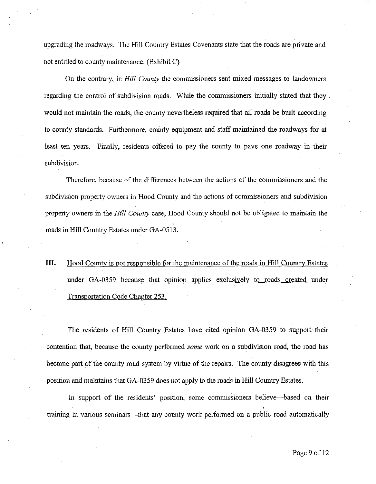upgrading the roadways. The Hill Country Estates Covenants state that the roads are private and not entitled to county maintenance. (Exhibit C)

On the contrary, in **Hill** County the commissioners sent mixed messages to landowners regarding the control of subdivision roads. While the commissioners initially stated that they would not maintain the roads, the county nevertheless required that all roads be built according to county standards. Furthermore, county equipment and staff maintained the roadways for at least ten years. Finally, residents offered to pay the county to pave one roadway in their subdivision.

Therefore, because of the differences between the actions of the commissioners and the subdivision property owners in Hood County and the actions of commissioners and subdivision property owners in the Hill County case, Hood County should not be obligated to maintain the roads in Hill Country Estates under GA-0513.

# **111.** Hood County is not responsible for the maintenance of the roads in Hill Countrv Estates under GA-0359 because that opinion applies exclusively to roads created under Transportation Code Chapter 253.

The residents of Hill Country Estates have cited opinion GA-0359 to support their contention that, because the county performed *some* work on a subdivision road, the road has become part of the county road system by virtue of the repairs. The county disagrees with this position and maintains that GA-0359 does not apply to the roads in Hill Country Estates.

In support of the residents' position, some commissioners believe—based on their training in various seminars-that any county work performed on a public road automatically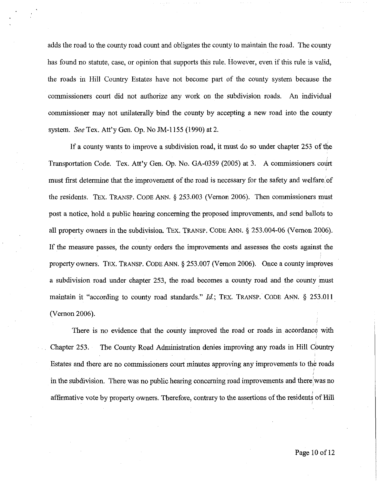adds the road to the county road count and obligates the county to maintain the road. The county has found no statute, case, or opinion that supports this rule. However, even if this ruie is valid, the roads in Hill Country Estates have not become part of the county system because the commissioners court did not authorize any work on the subdivision roads. An individual commissioner may not unilaterally bind the county by accepting a new road into the county system. *See* Tex. Att'y Gen. Op. No JM-1155 (1990) at 2.

If a county wants to improve a subdivision road, it must do so under chapter 253 of the Transportation Code. Tex. Att'y Gen. Op. No. GA-0359 (2005) at 3. A commissioners court must first determine that the improvement of the road is necessary for the safety and welfare of the residents. TEX. TRANSP. CODE ANN. *5* 253.003 (Vernon 2006). Then commissioners must post a notice, hold a public hearing concerning the proposed improvements, and send ballots to all property owners in the subdivision. TEX. TKANSP. CODE ANN. *5* 253.004-06 (Vernon 2006). If the measure passes, the county orders the improvements and assesses the costs against the property owners. TEX. TRANSP. CODE ANN. *5* 253.007 (Vemon 2006). Once a county improves a subdivision road under chapter 253, the road becomes a county road and the county must maintain it "according to county road standards." Id.; TEX. TRANsP. CODE ANN. *5* 253.011 (Vernon 2006).

There is no evidence that the county improved the road or roads in accordance with Chapter 253. The County Road Administration denies improving any roads in Hill Country Estates and there are no commissioners court minutes approving any improvements to the roads in the subdivision. There was no public hearing concerning road improvements and there was no affirmative vote by property owners. Therefore, contrary to the assertions of the residents of Hill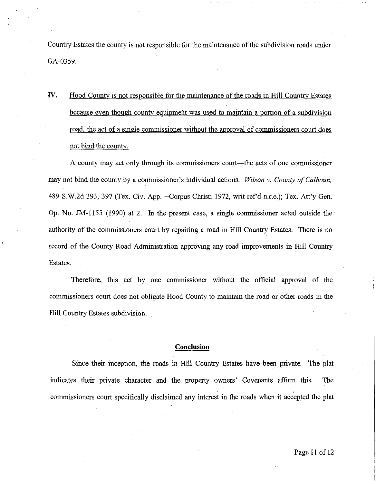Country Estates the county is not responsible for the maintenance of the subdivision roads under GA-0359.

**IV.** Hood County is not responsible for the maintenance of the roads in Hill Country Estates because even though county equipment was used to maintain a portion of a subdivision road, the act of a single commissioner without the approval of commissioners court does not bind the county.

A county may act only through its commissioners court—the acts of one commissioner may not bind the county by a commissioner's individual actions. *Wilson* v. *County of Calhoun, 489* S.W.2d 393, 397 (Tex. Civ. App.--Corpus Christi 1972, writ ref d n.r.e.); Tex. Att'y Gen. Op. No. JM-1155 (1990) at 2. In the present case, a single commissioner acted outside the authority of the commissioners court by repairing a road in Hill Country Estates. There is no record of the County Road Administration approving any road improvements in Hill Country Estates.

Therefore, this act by one commissioner without the official approval of the commissioners court does not obligate Hood County to maintain the road or other roads in the Hill Country Estates subdivision.

### **Conclusion**

Since their inception, the roads in Hill Country Estates have been private. The plat indicates their private character and the property owners' Covenants affirm this. The commissioners court specifically disclaimed any interest in the roads when it accepted the plat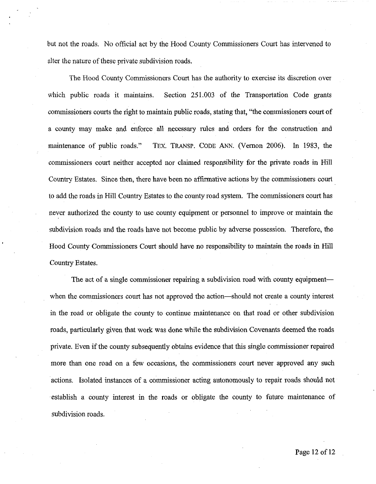but not the roads. No official act by the Hood County Commissioners Court has intervened to alter the nature of these private subdivision roads.

The Hood County Commissioners Court has the authority to exercise its discretion over which public roads it maintains. Section 251.003 of the Transportation Code grants commissioners courts the right to maintain public roads, stating that, "the commissioners court of a county may make and enforce all necessary rules and orders for the construction and maintenance of public roads." TEX. TRANSP. CODE ANN. (Vernon 2006). In 1983, the commssioners court neither accepted nor claimed responsibility for the private roads in Hill Country Estates. Since then, there have been no affirmative actions by the commissioners court to add the roads in Hill Country Estates to the county road system. The commissioners court has never authorized the county to use county equipment or personnel to improve or maintain the subdivision roads and the roads have not become public by adverse possession. Therefore, the Hood County Commissioners Court should have no responsibility to maintain the roads in Hill Country Estates.

The act of a single commissioner repairing a subdivision road with county equipmentwhen the commissioners court has not approved the action—should not create a county interest in the road or obligate the county to continue maintenance on that road or other subdivision roads, particularly given that work was done while the subdivision Covenants deemed the roads private. Even if the county subsequently obtains evidence that this single commissioner repaired more than one road on a few occasions, the commissioners court never approved any such actions. Isolated instances of a commissioner acting autonomously to repair roads should not establish a county interest in the roads or obligate the county to future maintenance of subdivision roads.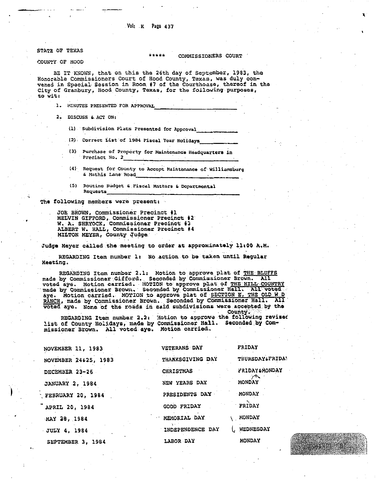### Vol: K Page 437

STATE OF TEXAS

### COMMISSIONERS COURT

COUNTY OF HOOD

BE IT KNOWN, that on this the 26th day of September, 1983, the Honorable Commissioners Court of Hood County, Texas, was duly convened in Special Session in Room #7 of the Courthouse, thereof in the City of Granbury, Hood County, Texas, for the following purposes, to wit:

1. MINUTES PRESENTED FOR APPROVAL

- 2. DISCUSS & ACT ON:
	- (1) Subdivision Plats Presented for Approval
	- (2) Correct List of 1984 Fiscal Year Holidays
	- (3) Purchase of Property for Maintenance Headquarters in Precinct No. 2
	- (4) Request for County to Accept Maintenance of Williamsburg & Mathis Lane Road
	- Routine Budget & Fiscal Matters & Departmental  $(5)$ Requests

The following members were present:

JOE BROWN, Commissioner Precinct #1 MELVIN GIFFORD, Commissioner Precinct #2<br>W. A. SHRYOCK, Commissioner Precinct #3 ALBERT W. HALL, Commissioner Precinct #4 MILTON MEYER, County Judge

Judge Meyer called the meeting to order at approximately 11:00 A.M.

REGARDING Item number 1: No action to be taken until Regular Meating.

REGARDING Item number 2.1: Motion to approve plat of THE BLUFFS made by Commissioner Gifford. Seconded by Commissioner Brown. All voted aye. Motion carried. MOTION to approve plat of THE HILL COUNTRY made by Commissioner Brown. Seconded by Commissioner Hall. All voted aye. Motion carried. MOTION to approve plat of SECTION E, THE OLD W.D. RANCH, made by Commissioner Brown. Seconded by Commissioner Hall. All voted age. None of the roads in said subdivisions were accepted by the **AII** County.

REGARDING Item number 2.2. Motion to approve the following revised list of County Holidays, made by Commissioner Hall. Seconded by Com-<br>missioner Brown. All voted aye. Motion carried.

| NOVEMBER 11, 1983      | <b>VETERANS DAY</b> | FRIDAY                |
|------------------------|---------------------|-----------------------|
| NOVEMBER 24&25, 1983   | THARKSGIVING DAY    | THURSDAY FRIDA!       |
| DECEMBER 23-26         | <b>CHRISTMAS</b>    | <b>FRIDAY PRONDAY</b> |
| <b>JANUARY 2, 1984</b> | NEW YEARS DAY       | $\sim$<br>MONDAY      |
| FEBRUARY 20, 1984      | PRESIDENTS DAY      | <b>MONDAY</b>         |
| APRIL 20, 1984         | GOOD FRIDAY         | FRIDAY                |
| MAY 28, 1984           | NEMORIAL DAY        | <b>MONDAY</b>         |
| <b>JULY 4, 1984</b>    | INDEPENDENCE DAY    | ( WEDNESDAY           |
| SEPTEMBER 3. 1984      | LABOR DAY           | <b>MONDAY</b>         |

HTBTT<sup>.UB</sup>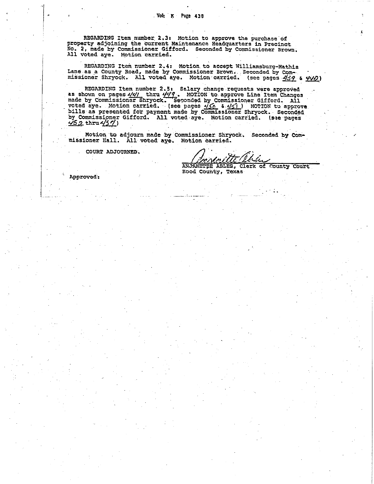**REGARDING Item number 2.3: Motion to approve the purchase of property adjoining the current Maintenmcn Headquarters in Precinct No. 2, made by commissioner Gifford. Seconded by Cummissioner Brown. All voted aye. Motion carried.** 

**REGARDING Item number 2.4: Motion to accept Williamsburg-Mathis**  REGARDING Item number 2.4: Motion to accept Williamsburg-Mathis<br>Lane as a County Road, made by Commissioner Brown. Seconded by Com-<br>"Missioner Shryock. All voted aye. Motion carried. (see pages <u>439</u> & <u>440</u>)

**REGARDING Item number 2.5: Salary change requests were approved**  assioner Shryock. All voted aye. Motion carried. (see pages <u>439</u> & 5<br>REGARDING Item number 2.5: Salary change requests were approved<br>as shown on pages 441 thru 449. MOTION to approve Line Item Changes<br>ande by Commissioner REGARDING Item number 2.5: Salary change requests were approved<br>as shown on pages  $4/4/$  thru  $4/9$ . MOTION to approve Line Item Changes<br>made by Commissioner Shryock. Seconded by Commissioner Gifford. All<br>voted aye. Motion by Commissioner Gifford. All voted aye. Motion carried. (see pages **452** thru **457**)

Motion to adjourn made by Commissioner Shryock. Seconded by Commissioner Hall. All voted aye. Motion carried.

COURT ADJOURNED.

ANJANETTE ABLES, Clerk of County Court Hood County, Texas

Approved: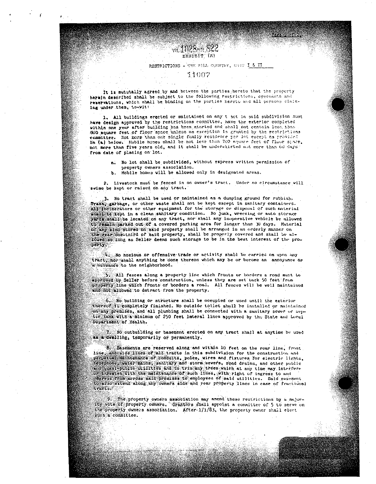# EXHIBIT (A)

vii 1028 virt 522

### RESTRICTIONS - THE MILL COUNTRY, UNIT I & II

أمحمته الأمصاء

### 31007

It is mututally agreed by and between the parties hereto that the property herein described shall be subject to the following restrictions, covenants and reservations, which shall be binding on the parties hereto and all persons claiming under them, to-wit:

1. All buildings erected or maintained on any t act in said subdivision must have design approved by the restrictions committed, have the exterior completed within one year after building has been started and shall not contain less, than 800 aquare feet of floor space unless an exception is granted by the restrictions committee. Not more than one single family residence per lot except as provided In (a) below. Nobile homes shall be not less than 700 square feet of floor space. not more than five years old, and it shall be understirted not more than 60 days. from date of placing on lot.

a. No lot shall be subdivided, without express written permission of property owners association.

Mobile homes will be allowed only in designated areas.

2. Livestock must be fenced in on ovner's tract. Under no circumstance vill swine be kept or raised on any tract.

3. No tract shall be used or maintained as a dumping ground for rubbish. Trash, garbage, or other waste shall not be kept except in sanitary containers. All includerators or other equipment for the storage or disposal of such material shall be kept in a clean sanitary condition. No junk, wrecking or auto storage vards shall be located on any tract, nor shall any inoperative vehicle be allowed to remain parked out of a covered parking area for longer than 30 days. Material of any kind stored on said property shall be arranged in an orderly manner on the rear one-third of said property, shall be properly covered and shall be allowed so long as Seller deems such storage to be in the best interest of the property.

 $\mathbb{R}$  No noxious or offensive trade or activity shall be carried on upon any tract, nor shall anything be done thereon which may be or become an annoyance or a nutuance to the neighborhood.

5. All fences along a property line which fronts or borders a road must be approved by Seller before construction, unless they are set back 50 feet from property the Which fronts or bordern a road. All fences will be well maintained and not allowed to detract from the property.

6. No building or structure shall be occupied or used until the exterior Chereof 18 completely finished. No outside toilet shall be installed or mushtained con any premises, and all plumbing shall be connected with a sanitary sever or sep-Cic Cank With a minimum of 250 feet lateral lines approved by the State and Locul Department of Health.

7. No outbuilding or basement crected on any tract shall at anytime be used AB a dvelling, temporarily or permanently.

8. Pasements are reserved along and within 10 feet on the rear line, front line and side lines of all tracts in this subdivision for the construction and perpetual maintenance of condults, poles, wires and fixtures for electric lights, telephone, water mains, sanitary and storm severs, road drains, and other public and quasi-public millies and to trim any trees which at any time may interfere Or threaten tith the maintenance of such lines, with right of ingress to and egress from across said premises to employees of said utilities. Said easement to also extend along any ovners side and rear property lines in case of fractional **VFACIA** 

The property owners association may amend these restrictions by a majority vote of property owners. Grantors shall appoint a committee of 5 to serve on the property owners association. After 171/83, the property owner shall elect such a committee.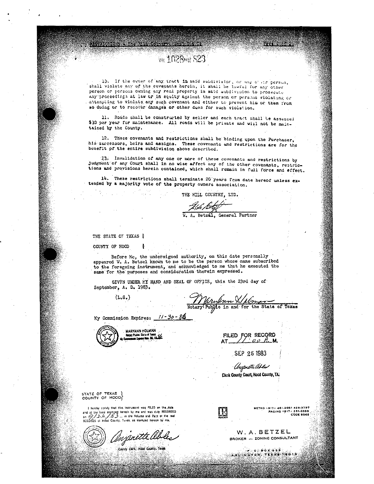15. If the owner of any tract in said subdivision, or any of air person, shall violate any of the covenants herein, it shall be lawful for any other person or persons owning any real property in said aubdivision to prosecute any proceedings at law or in equity against the person or persons violating or artempting to violate any such covenant and either to prevent him or them from so duing or to recover damages or other dues for such violation.

**val 1028 ave: S23** 

11. Roads shall be constructed by seller and each tract shall be assessed \$30 per year for maintenance. All roads will be private and will not be maintained by the County.

12. These covenants and restrictions shall be binding upon the Purchaser, his auccessors, heirs and assigns. These covenants and restrictions are for the benefit of the entire subdivision above described.

T3. Invalidation of any one or more of these covenants and restrictions by Judgment of any Court shall in no wise affect any of the other covenants, restrictions and provisions herein contained, which shall remain in full force and effect.

14. These restrictions shall terminate 20 years from date hereof unless extended by a majority vote of the property owners association.

THE HILL COUNTRY, LTD.

W. A. Betzal, General Partner

THE STATE OF TEXAS O

COUNTY OF HOOD

Before Me, the undersigned authority, on this date personally appeared W. A. Betzel known to me to be the person whose name subscribed to the foregoing instrument, and acknowledged to me that he executed the same for the purposes and consideration therein expressed.

GIVEN UNDER MY HAND AND SEAL OF OFFICE, this the 23rd day of September, A. D. 1983.

 $(L, S, )$ 

Mrylnen X/ Almy Take of Texas

 $11 - 30 - 86$ My Commission Expires:



MARYANN HOLMAN .<br>Notary Public, Stelle of Toras<br>American Europas May, 30, 19.222.

FILED FOR RECORD  $AT_2$  oo A.M.

SEP 26 1983

Ungenitti Akku Clerk County Court, Hood County, TX.

STATE OF TEXAS )<br>COUNTY OF HOOD

I huroby certify that this instrument was FILED on the date In mercury can be an active interesting the state of the state of the state of the state of the state of the state of the state of the state of the state of the state of the state of the state of the state of the state of

Onjenette Obles

County Clerk: Hood County, Texas

 $\mathbb{R}$ 

2075-248 2023-148 LETRO 1917<br>261-0335 LEAGING 1917<br>2008 2009

**PART 200221** 

W.A.BETZEL **BROKER -- ZONING CONSULTANT** 

 $\bullet$  ,  $\bullet$  ox  $\bullet$   $\bullet$   $\bullet$ ARCINGTON TEXAS 76010